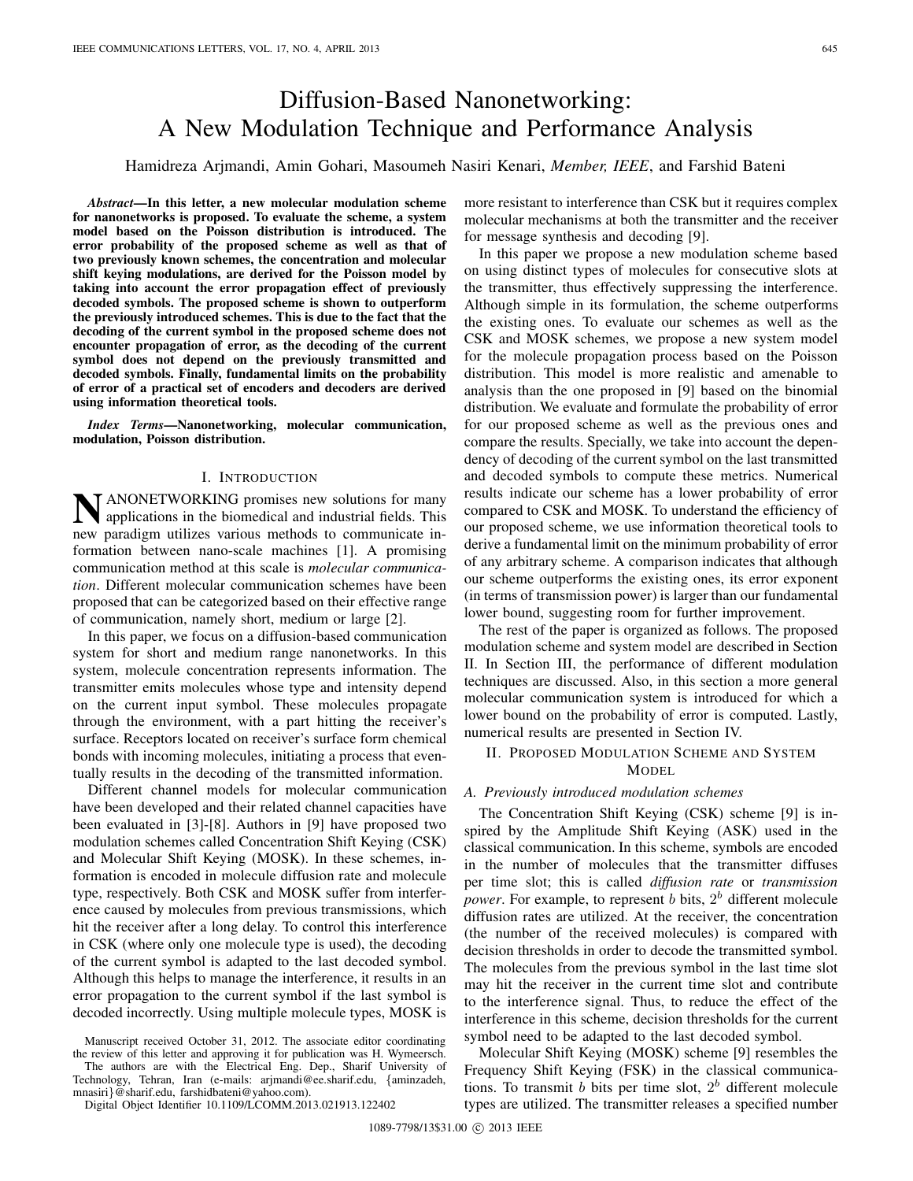# Diffusion-Based Nanonetworking: A New Modulation Technique and Performance Analysis

Hamidreza Arjmandi, Amin Gohari, Masoumeh Nasiri Kenari, *Member, IEEE*, and Farshid Bateni

*Abstract***—In this letter, a new molecular modulation scheme for nanonetworks is proposed. To evaluate the scheme, a system model based on the Poisson distribution is introduced. The error probability of the proposed scheme as well as that of two previously known schemes, the concentration and molecular shift keying modulations, are derived for the Poisson model by taking into account the error propagation effect of previously decoded symbols. The proposed scheme is shown to outperform the previously introduced schemes. This is due to the fact that the decoding of the current symbol in the proposed scheme does not encounter propagation of error, as the decoding of the current symbol does not depend on the previously transmitted and decoded symbols. Finally, fundamental limits on the probability of error of a practical set of encoders and decoders are derived using information theoretical tools.**

*Index Terms***—Nanonetworking, molecular communication, modulation, Poisson distribution.**

## I. INTRODUCTION

**N**ANONETWORKING promises new solutions for many applications in the biomedical and industrial fields. This new paradigm utilizes various methods to communicate information between nano-scale machines [1]. A promising communication method at this scale is *molecular communication*. Different molecular communication schemes have been proposed that can be categorized based on their effective range of communication, namely short, medium or large [2].

In this paper, we focus on a diffusion-based communication system for short and medium range nanonetworks. In this system, molecule concentration represents information. The transmitter emits molecules whose type and intensity depend on the current input symbol. These molecules propagate through the environment, with a part hitting the receiver's surface. Receptors located on receiver's surface form chemical bonds with incoming molecules, initiating a process that eventually results in the decoding of the transmitted information.

Different channel models for molecular communication have been developed and their related channel capacities have been evaluated in [3]-[8]. Authors in [9] have proposed two modulation schemes called Concentration Shift Keying (CSK) and Molecular Shift Keying (MOSK). In these schemes, information is encoded in molecule diffusion rate and molecule type, respectively. Both CSK and MOSK suffer from interference caused by molecules from previous transmissions, which hit the receiver after a long delay. To control this interference in CSK (where only one molecule type is used), the decoding of the current symbol is adapted to the last decoded symbol. Although this helps to manage the interference, it results in an error propagation to the current symbol if the last symbol is decoded incorrectly. Using multiple molecule types, MOSK is

Manuscript received October 31, 2012. The associate editor coordinating the review of this letter and approving it for publication was H. Wymeersch. The authors are with the Electrical Eng. Dep., Sharif University of Technology, Tehran, Iran (e-mails: arjmandi@ee.sharif.edu, {aminzadeh,

mnasiri}@sharif.edu, farshidbateni@yahoo.com). Digital Object Identifier 10.1109/LCOMM.2013.021913.122402 more resistant to interference than CSK but it requires complex molecular mechanisms at both the transmitter and the receiver for message synthesis and decoding [9].

In this paper we propose a new modulation scheme based on using distinct types of molecules for consecutive slots at the transmitter, thus effectively suppressing the interference. Although simple in its formulation, the scheme outperforms the existing ones. To evaluate our schemes as well as the CSK and MOSK schemes, we propose a new system model for the molecule propagation process based on the Poisson distribution. This model is more realistic and amenable to analysis than the one proposed in [9] based on the binomial distribution. We evaluate and formulate the probability of error for our proposed scheme as well as the previous ones and compare the results. Specially, we take into account the dependency of decoding of the current symbol on the last transmitted and decoded symbols to compute these metrics. Numerical results indicate our scheme has a lower probability of error compared to CSK and MOSK. To understand the efficiency of our proposed scheme, we use information theoretical tools to derive a fundamental limit on the minimum probability of error of any arbitrary scheme. A comparison indicates that although our scheme outperforms the existing ones, its error exponent (in terms of transmission power) is larger than our fundamental lower bound, suggesting room for further improvement.

The rest of the paper is organized as follows. The proposed modulation scheme and system model are described in Section II. In Section III, the performance of different modulation techniques are discussed. Also, in this section a more general molecular communication system is introduced for which a lower bound on the probability of error is computed. Lastly, numerical results are presented in Section IV.

## II. PROPOSED MODULATION SCHEME AND SYSTEM MODEL

## *A. Previously introduced modulation schemes*

The Concentration Shift Keying (CSK) scheme [9] is inspired by the Amplitude Shift Keying (ASK) used in the classical communication. In this scheme, symbols are encoded in the number of molecules that the transmitter diffuses per time slot; this is called *diffusion rate* or *transmission power*. For example, to represent b bits,  $2<sup>b</sup>$  different molecule diffusion rates are utilized. At the receiver, the concentration (the number of the received molecules) is compared with decision thresholds in order to decode the transmitted symbol. The molecules from the previous symbol in the last time slot may hit the receiver in the current time slot and contribute to the interference signal. Thus, to reduce the effect of the interference in this scheme, decision thresholds for the current symbol need to be adapted to the last decoded symbol.

Molecular Shift Keying (MOSK) scheme [9] resembles the Frequency Shift Keying (FSK) in the classical communications. To transmit b bits per time slot,  $2<sup>b</sup>$  different molecule types are utilized. The transmitter releases a specified number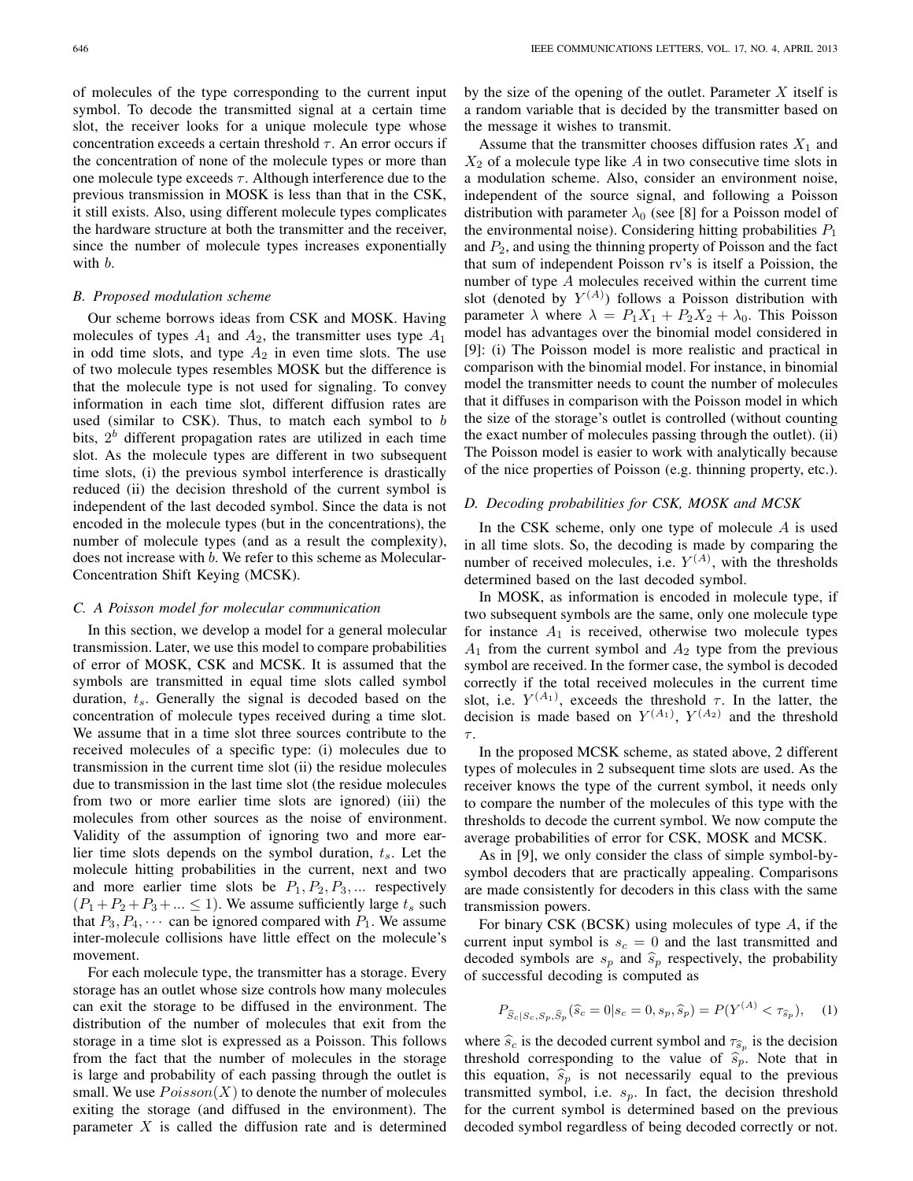of molecules of the type corresponding to the current input symbol. To decode the transmitted signal at a certain time slot, the receiver looks for a unique molecule type whose concentration exceeds a certain threshold  $\tau$ . An error occurs if the concentration of none of the molecule types or more than one molecule type exceeds  $\tau$ . Although interference due to the previous transmission in MOSK is less than that in the CSK, it still exists. Also, using different molecule types complicates the hardware structure at both the transmitter and the receiver, since the number of molecule types increases exponentially with  $b$ .

## *B. Proposed modulation scheme*

Our scheme borrows ideas from CSK and MOSK. Having molecules of types  $A_1$  and  $A_2$ , the transmitter uses type  $A_1$ in odd time slots, and type  $A_2$  in even time slots. The use of two molecule types resembles MOSK but the difference is that the molecule type is not used for signaling. To convey information in each time slot, different diffusion rates are used (similar to CSK). Thus, to match each symbol to  $b$ bits,  $2<sup>b</sup>$  different propagation rates are utilized in each time slot. As the molecule types are different in two subsequent time slots, (i) the previous symbol interference is drastically reduced (ii) the decision threshold of the current symbol is independent of the last decoded symbol. Since the data is not encoded in the molecule types (but in the concentrations), the number of molecule types (and as a result the complexity), does not increase with b. We refer to this scheme as Molecular-Concentration Shift Keying (MCSK).

## *C. A Poisson model for molecular communication*

In this section, we develop a model for a general molecular transmission. Later, we use this model to compare probabilities of error of MOSK, CSK and MCSK. It is assumed that the symbols are transmitted in equal time slots called symbol duration,  $t_s$ . Generally the signal is decoded based on the concentration of molecule types received during a time slot. We assume that in a time slot three sources contribute to the received molecules of a specific type: (i) molecules due to transmission in the current time slot (ii) the residue molecules due to transmission in the last time slot (the residue molecules from two or more earlier time slots are ignored) (iii) the molecules from other sources as the noise of environment. Validity of the assumption of ignoring two and more earlier time slots depends on the symbol duration,  $t_s$ . Let the molecule hitting probabilities in the current, next and two and more earlier time slots be  $P_1, P_2, P_3, \ldots$  respectively  $(P_1 + P_2 + P_3 + \ldots \leq 1)$ . We assume sufficiently large  $t_s$  such that  $P_3, P_4, \cdots$  can be ignored compared with  $P_1$ . We assume inter-molecule collisions have little effect on the molecule's movement.

For each molecule type, the transmitter has a storage. Every storage has an outlet whose size controls how many molecules can exit the storage to be diffused in the environment. The distribution of the number of molecules that exit from the storage in a time slot is expressed as a Poisson. This follows from the fact that the number of molecules in the storage is large and probability of each passing through the outlet is small. We use  $Poisson(X)$  to denote the number of molecules exiting the storage (and diffused in the environment). The parameter  $X$  is called the diffusion rate and is determined by the size of the opening of the outlet. Parameter  $X$  itself is a random variable that is decided by the transmitter based on the message it wishes to transmit.

Assume that the transmitter chooses diffusion rates  $X_1$  and  $X_2$  of a molecule type like A in two consecutive time slots in a modulation scheme. Also, consider an environment noise, independent of the source signal, and following a Poisson distribution with parameter  $\lambda_0$  (see [8] for a Poisson model of the environmental noise). Considering hitting probabilities  $P_1$ and  $P_2$ , and using the thinning property of Poisson and the fact that sum of independent Poisson rv's is itself a Poission, the number of type A molecules received within the current time slot (denoted by  $Y^{(A)}$ ) follows a Poisson distribution with parameter  $\lambda$  where  $\lambda = P_1X_1 + P_2X_2 + \lambda_0$ . This Poisson model has advantages over the binomial model considered in [9]: (i) The Poisson model is more realistic and practical in comparison with the binomial model. For instance, in binomial model the transmitter needs to count the number of molecules that it diffuses in comparison with the Poisson model in which the size of the storage's outlet is controlled (without counting the exact number of molecules passing through the outlet). (ii) The Poisson model is easier to work with analytically because of the nice properties of Poisson (e.g. thinning property, etc.).

### *D. Decoding probabilities for CSK, MOSK and MCSK*

In the CSK scheme, only one type of molecule  $A$  is used in all time slots. So, the decoding is made by comparing the number of received molecules, i.e.  $Y^{(A)}$ , with the thresholds determined based on the last decoded symbol.

In MOSK, as information is encoded in molecule type, if two subsequent symbols are the same, only one molecule type for instance  $A_1$  is received, otherwise two molecule types  $A_1$  from the current symbol and  $A_2$  type from the previous symbol are received. In the former case, the symbol is decoded correctly if the total received molecules in the current time slot, i.e.  $Y^{(A_1)}$ , exceeds the threshold  $\tau$ . In the latter, the decision is made based on  $Y^{(A_1)}$ ,  $Y^{(A_2)}$  and the threshold τ.

In the proposed MCSK scheme, as stated above, 2 different types of molecules in 2 subsequent time slots are used. As the receiver knows the type of the current symbol, it needs only to compare the number of the molecules of this type with the thresholds to decode the current symbol. We now compute the average probabilities of error for CSK, MOSK and MCSK.

As in [9], we only consider the class of simple symbol-bysymbol decoders that are practically appealing. Comparisons are made consistently for decoders in this class with the same transmission powers.

For binary CSK (BCSK) using molecules of type A, if the current input symbol is  $s_c = 0$  and the last transmitted and transmission powers.<br>
For binary CSK (BCSK) using molecules of type A, if the<br>
current input symbol is  $s_c = 0$  and the last transmitted and<br>
decoded symbols are  $s_p$  and  $\hat{s}_p$  respectively, the probability of successful decoding is computed as

$$
P_{\widehat{S}_c|S_c, S_p, \widehat{S}_p}(\widehat{s}_c = 0 | s_c = 0, s_p, \widehat{s}_p) = P(Y^{(A)} < \tau_{\widehat{s}_p}), \quad (1)
$$

 $P_{\hat{S}_c|S_c, S_p, \hat{S}_p}(\hat{s}_c = 0|s_c = 0, s_p, \hat{s}_p) = P(Y^{(A)} < \tau_{\hat{s}_p}),$  (1)<br>where  $\hat{s}_c$  is the decoded current symbol and  $\tau_{\hat{s}_p}$  is the decision  $P_{\widehat{S}_c|S_c, S_p, \widehat{S}_p}(\widehat{s}_c = 0|s_c = 0, s_p, \widehat{s}_p) = P(Y$ <br>where  $\widehat{s}_c$  is the decoded current symbol and  $\tau_{\widehat{s}}$ <br>threshold corresponding to the value of  $\widehat{s}_c$ threshold corresponding to the value of  $\hat{s}_p$ . Note that in where  $\hat{s}_c$  is the decoded current symbol and  $\tau_{\hat{s}_p}$  is the decision threshold corresponding to the value of  $\hat{s}_p$ . Note that in this equation,  $\hat{s}_p$  is not necessarily equal to the previous transmitted symbol, i.e.  $s_p$ . In fact, the decision threshold for the current symbol is determined based on the previous decoded symbol regardless of being decoded correctly or not.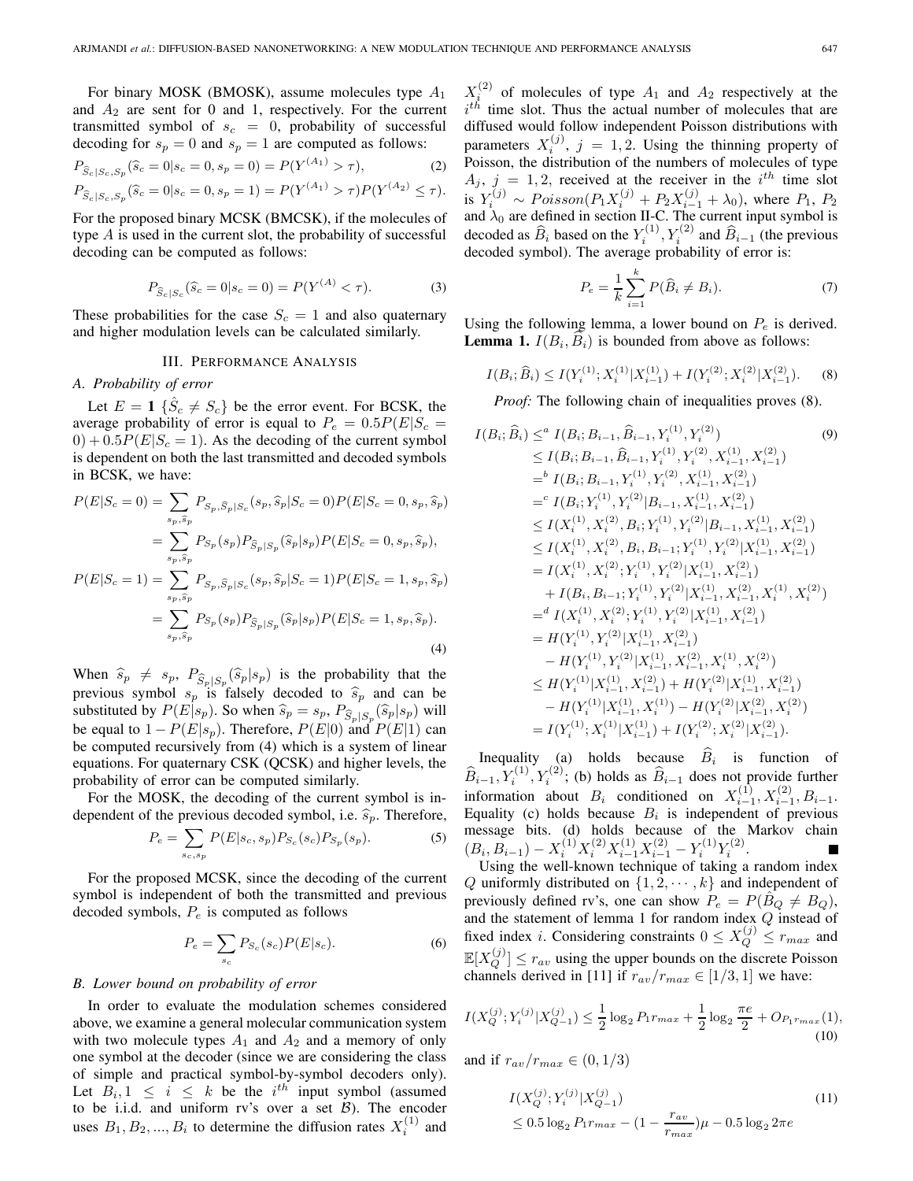For binary MOSK (BMOSK), assume molecules type  $A_1$ and  $A_2$  are sent for 0 and 1, respectively. For the current transmitted symbol of  $s_c = 0$ , probability of successful decoding for  $s_p = 0$  and  $s_p = 1$  are computed as follows:<br>  $P_{\hat{S}_c | S_c, S_n}(\hat{s}_c = 0 | s_c = 0, s_p = 0) = P(Y^{(A_1)} > \tau),$ 

$$
P_{\hat{S}_c|S_c, S_p}(\hat{s}_c = 0 | s_c = 0, s_p = 0) = P(Y^{(A_1)} > \tau),
$$
\n
$$
P_{\hat{S}_c|S_c, S_p}(\hat{s}_c = 0 | s_c = 0, s_p = 1) = P(Y^{(A_1)} > \tau)P(Y^{(A_2)} \le \tau).
$$
\n(2)

For the proposed binary MCSK (BMCSK), if the molecules of type A is used in the current slot, the probability of successful decoding can be computed as follows:

$$
P_{\widehat{S}_c|S_c}(\widehat{s}_c = 0|s_c = 0) = P(Y^{(A)} < \tau).
$$
 (3)

These probabilities for the case  $S_c = 1$  and also quaternary and higher modulation levels can be calculated similarly.

## III. PERFORMANCE ANALYSIS

## *A. Probability of error*

Let  $E = \mathbf{1} \{ \hat{S}_c \neq S_c \}$  be the error event. For BCSK, the average probability of error is equal to  $P_e = 0.5P(E|S_c =$  $0) + 0.5P(E|S<sub>c</sub> = 1)$ . As the decoding of the current symbol is dependent on both the last transmitted and decoded symbols in BCSK, we have:

in BCSK, we have:  
\n
$$
P(E|S_c = 0) = \sum_{s_p, \hat{s}_p} P_{S_p, \hat{S}_p|S_c}(s_p, \hat{s}_p|S_c = 0) P(E|S_c = 0, s_p, \hat{s}_p)
$$
\n
$$
= \sum_{s_p, \hat{s}_p} P_{S_p}(s_p) P_{\hat{S}_p|S_p}(\hat{s}_p|s_p) P(E|S_c = 0, s_p, \hat{s}_p),
$$
\n
$$
P(E|S_c = 1) = \sum_{s_p, \hat{s}_p} P_{S_p, \hat{S}_p|S_c}(s_p, \hat{s}_p|S_c = 1) P(E|S_c = 1, s_p, \hat{s}_p)
$$
\n
$$
= \sum_{s_p, \hat{s}_p} P_{S_p}(s_p) P_{\hat{S}_p|S_p}(\hat{s}_p|s_p) P(E|S_c = 1, s_p, \hat{s}_p).
$$
\n(4)

 $=\sum_{s_p,\hat{s}_p} F_{S_p}(s_p) F_{\hat{S}_p|S_p}(s_p|s_p) F(E|S_c=1, s_p, s_p).$ <br>
When  $\hat{s}_p \neq s_p$ ,  $P_{\hat{S}_p|S_p}(\hat{s}_p|s_p)$  is the probability that the previous symbol  $s_p$  is falsely decoded to  $\hat{s}_p$  and can be When  $\hat{s}_p \neq s_p$ ,  $P_{\hat{S}_p|S_p}(\hat{s}_p|s_p)$  is the probability<br>previous symbol  $s_p$  is falsely decoded to  $\hat{s}_p$  and<br>substituted by  $P(E|s_p)$ . So when  $\hat{s}_p = s_p$ ,  $P_{\hat{S}_p|S_p}(\hat{s}_p)$ <br>be squal to 1  $P(E|s_p)$ . Therefore,  $P(E$ substituted by  $P(E|s_p)$ . So when  $\widehat{s}_p = s_p$ ,  $P_{\widehat{S}_p}|s_p(\widehat{s}_p|s_p)$  will be equal to  $1 - P(E|s_p)$ . Therefore,  $P(E|0)$  and  $P(E|1)$  can be computed recursively from (4) which is a system of linear equations. For quaternary CSK (QCSK) and higher levels, the probability of error can be computed similarly.

For the MOSK, the decoding of the current symbol is inequations. For quaternary CSK (QCSK) and higher levels, the probability of error can be computed similarly.<br>For the MOSK, the decoding of the current symbol is in-<br>dependent of the previous decoded symbol, i.e.  $\hat{s}_p$ . T

$$
P_e = \sum_{s_c, s_p} P(E|s_c, s_p) P_{S_c}(s_c) P_{S_p}(s_p).
$$
 (5)

For the proposed MCSK, since the decoding of the current symbol is independent of both the transmitted and previous decoded symbols,  $P_e$  is computed as follows

$$
P_e = \sum_{s_c} P_{S_c}(s_c) P(E|s_c). \tag{6}
$$

## *B. Lower bound on probability of error*

In order to evaluate the modulation schemes considered above, we examine a general molecular communication system with two molecule types  $A_1$  and  $A_2$  and a memory of only one symbol at the decoder (since we are considering the class of simple and practical symbol-by-symbol decoders only). Let  $B_i, 1 \le i \le k$  be the *i*<sup>th</sup> input symbol (assumed<br>to be i.i.d. and uniform ry's over a set  $B$ ). The encoder to be i.i.d. and uniform rv's over a set  $\beta$ ). The encoder uses  $B_1, B_2, ..., B_i$  to determine the diffusion rates  $X_i^{(1)}$  and

 $X_j^{(2)}$  of molecules of type  $A_1$  and  $A_2$  respectively at the  $i^{th}$  time slot. Thus the actual number of molecules that are diffused would follow independent Poisson distributions with parameters  $X_i^{(j)}$ ,  $j = 1, 2$ . Using the thinning property of poisson the distribution of the numbers of molecules of type Poisson, the distribution of the numbers of molecules of type  $A_j$ ,  $j = 1, 2$ , received at the receiver in the *i*<sup>th</sup> time slot<br>is  $V^{(j)}$  to  $P^{(j)}$  the  $V^{(j)}$  the  $V^{(j)}$  the *n*  $P$ <sub>1</sub>  $P$ <sub>1</sub> is  $Y_i^{(j)} \sim Poisson(P_1 X_i^{(j)} + P_2 X_{i-1}^{(j)} + \lambda_0)$ , where  $P_1, P_2$ <br>and  $\lambda_0$  are defined in section ILC. The current input symbol is and  $\lambda_0$  are defined in section II-C. The current input symbol is  $A_j$ ,  $j = 1, 2$ , received at the receiver in t<br>is  $Y_i^{(j)} \sim Poisson(P_1 X_i^{(j)} + P_2 X_{i-1}^{(j)} + \lambda_0$ <br>and  $\lambda_0$  are defined in section II-C. The currence<br>decoded as  $\hat{B}_i$  based on the  $Y_i^{(1)}, Y_i^{(2)}$  and  $\hat{B}$ *i* based on the  $Y_i^{(1)}, Y_i^{(2)}$  and  $\widehat{B}_{i-1}$  (the previous decoded symbol). The average probability of error is:

$$
P_e = \frac{1}{k} \sum_{i=1}^{k} P(\hat{B}_i \neq B_i).
$$
 (7)

Using the following lemma, a lower bound on  $P_e$  is derived. Using the following<br>**Lemma 1.**  $I(B_i, \tilde{B})$ **Lemma 1.**  $I(B_i, B_i)$  is bounded from above as follows:

$$
I(B_i; \hat{B}_i) \le I(Y_i^{(1)}; X_i^{(1)} | X_{i-1}^{(1)}) + I(Y_i^{(2)}; X_i^{(2)} | X_{i-1}^{(2)}).
$$
 (8)

*Proof:* The following chain of inequalities proves (8).

$$
I(B_i; \hat{B}_i) \leq^a I(B_i; B_{i-1}, \hat{B}_{i-1}, Y_i^{(1)}, Y_i^{(2)}) \qquad (9)
$$
\n
$$
\leq I(B_i; B_{i-1}, \hat{B}_{i-1}, Y_i^{(1)}, Y_i^{(2)}, X_{i-1}^{(1)}, X_{i-1}^{(2)})
$$
\n
$$
=^b I(B_i; B_{i-1}, Y_i^{(1)}, Y_i^{(2)}, X_{i-1}^{(1)}, X_{i-1}^{(2)})
$$
\n
$$
=^c I(B_i; Y_i^{(1)}, Y_i^{(2)} | B_{i-1}, X_{i-1}^{(1)}, X_{i-1}^{(2)})
$$
\n
$$
\leq I(X_i^{(1)}, X_i^{(2)}, B_i; Y_i^{(1)}, Y_i^{(2)} | B_{i-1}, X_{i-1}^{(1)}, X_{i-1}^{(2)})
$$
\n
$$
\leq I(X_i^{(1)}, X_i^{(2)}, B_i, B_{i-1}; Y_i^{(1)}, Y_i^{(2)} | X_{i-1}^{(1)}, X_{i-1}^{(2)})
$$
\n
$$
= I(X_i^{(1)}, X_i^{(2)}; Y_i^{(1)}, Y_i^{(2)} | X_{i-1}^{(1)}, X_{i-1}^{(2)})
$$
\n
$$
+ I(B_i, B_{i-1}; Y_i^{(1)}, Y_i^{(2)} | X_{i-1}^{(1)}, X_{i-1}^{(2)})
$$
\n
$$
=^d I(X_i^{(1)}, X_i^{(2)}; Y_i^{(1)}, Y_i^{(2)} | X_{i-1}^{(1)}, X_{i-1}^{(2)})
$$
\n
$$
= H(Y_i^{(1)}, Y_i^{(2)} | X_{i-1}^{(1)}, X_{i-1}^{(2)})
$$
\n
$$
- H(Y_i^{(1)}, Y_i^{(2)} | X_{i-1}^{(1)}, X_{i-1}^{(2)}, X_i^{(1)}, X_i^{(2)})
$$
\n
$$
\leq H(Y_i^{(1)} | X_i^{(1)}, X_i^{(2)}) + H(Y_i^{(2)} | X_{i-1}^{(2)}, X_i^{(2)})
$$
\n
$$
- H(Y_i^{(1)} | X_{i-1}^{(1)}, X_{i-1}^{(1)}) + H(Y_i^{(2)} | X_{i-1}^{(2)}, X_i^{(2)})
$$
\n

B- $= I(Y_i^{(1)}; X_i^{(1)} | X_{i-1}^{(1)}) + I(Y_i^{(2)}; X_i^{(2)} | X_{i-1}^{(2)})$ .<br>
Inequality (a) holds because  $\hat{B}_i$  is function of  $\hat{B}_{i-1}, Y_i^{(1)}, Y_i^{(2)}$ ; (b) holds as  $\hat{B}_{i-1}$  does not provide further information about  $B_i$  conditioned on  $X_{i-1}^{(1)}, X_{i-1}^{(2)}, B_{i-1}$ . Equality (c) holds because  $B_i$  is independent of previous message bits. (d) holds because of the Markov chain  $(B_i, B_{i-1}) - X_i^{(1)} X_i^{(2)} X_{i-1}^{(1)} X_i^{(2)} - Y_i^{(1)} Y_i^{(2)}$ .<br>Ising the well-known technique of taking a Using the well-known technique of taking a random index Q uniformly distributed on  $\{1, 2, \dots, k\}$  and independent of previously defined rv's, one can show  $P_e = P(B_Q \neq B_Q)$ , and the statement of lemma 1 for random index Q instead of

fixed index *i*. Considering constraints  $0 \le X_Q^{(j)} \le r_{max}$  and  $\mathbb{E}[X_Q^{(j)}] \le r_{av}$  using the upper bounds on the discrete Poisson<br>channels derived in [11] if  $r = \sqrt{r} = (1/3, 1]$  we have: channels derived in [11] if  $r_{av}/r_{max} \in [1/3, 1]$  we have:

$$
I(X_Q^{(j)}; Y_i^{(j)} | X_{Q-1}^{(j)}) \le \frac{1}{2} \log_2 P_1 r_{max} + \frac{1}{2} \log_2 \frac{\pi e}{2} + O_{P_1 r_{max}}(1),\tag{10}
$$

and if  $r_{av}/r_{max} \in (0, 1/3)$ 

$$
I(X_Q^{(j)}; Y_i^{(j)} | X_{Q-1}^{(j)})
$$
  
\n
$$
\leq 0.5 \log_2 P_1 r_{max} - (1 - \frac{r_{av}}{r_{max}})\mu - 0.5 \log_2 2\pi e
$$
\n(11)